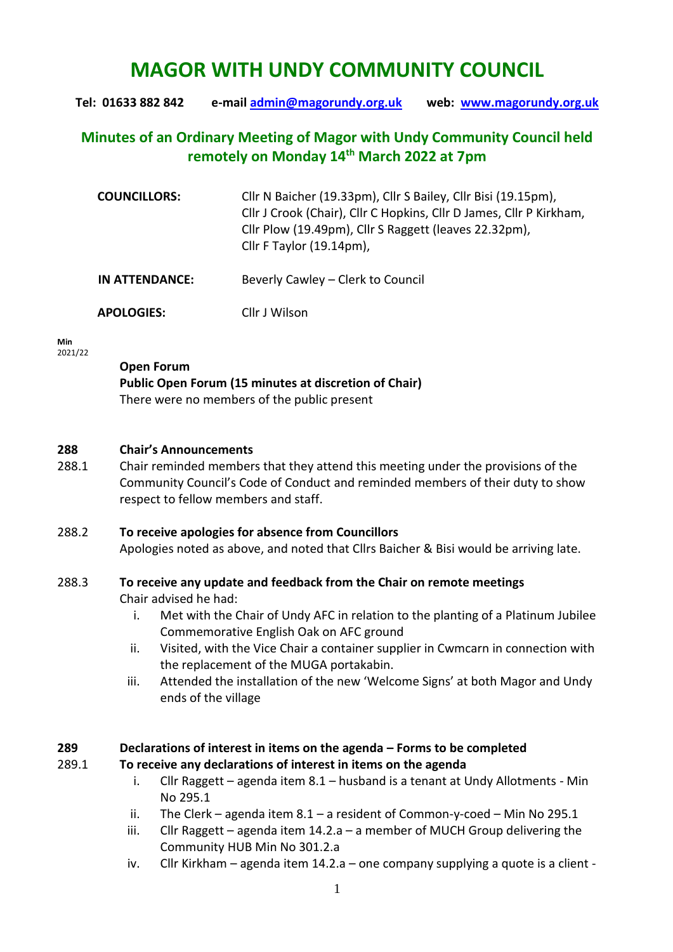# **MAGOR WITH UNDY COMMUNITY COUNCIL**

**Tel: 01633 882 842 e-mail [admin@magorundy.org.uk](mailto:admin@magorundy.org.uk) web: [www.magorundy.org.uk](http://www.magorundy.org.uk/)**

# **Minutes of an Ordinary Meeting of Magor with Undy Community Council held remotely on Monday 14th March 2022 at 7pm**

| <b>COUNCILLORS:</b> | Cllr N Baicher (19.33pm), Cllr S Bailey, Cllr Bisi (19.15pm),<br>Cllr J Crook (Chair), Cllr C Hopkins, Cllr D James, Cllr P Kirkham,<br>Cllr Plow (19.49pm), Cllr S Raggett (leaves 22.32pm),<br>Cllr F Taylor (19.14pm), |
|---------------------|---------------------------------------------------------------------------------------------------------------------------------------------------------------------------------------------------------------------------|
| IN ATTENDANCE:      | Beverly Cawley – Clerk to Council                                                                                                                                                                                         |

 **APOLOGIES:** Cllr J Wilson

**Min**  2021/22

# **Open Forum**

**Public Open Forum (15 minutes at discretion of Chair)** There were no members of the public present

## **288 Chair's Announcements**

288.1 Chair reminded members that they attend this meeting under the provisions of the Community Council's Code of Conduct and reminded members of their duty to show respect to fellow members and staff.

#### 288.2 **To receive apologies for absence from Councillors**

Apologies noted as above, and noted that Cllrs Baicher & Bisi would be arriving late.

## 288.3 **To receive any update and feedback from the Chair on remote meetings**

Chair advised he had:

- i. Met with the Chair of Undy AFC in relation to the planting of a Platinum Jubilee Commemorative English Oak on AFC ground
- ii. Visited, with the Vice Chair a container supplier in Cwmcarn in connection with the replacement of the MUGA portakabin.
- iii. Attended the installation of the new 'Welcome Signs' at both Magor and Undy ends of the village

## **289 Declarations of interest in items on the agenda – Forms to be completed**

#### 289.1 **To receive any declarations of interest in items on the agenda**

- i. Cllr Raggett agenda item 8.1 husband is a tenant at Undy Allotments Min No 295.1
- ii. The Clerk agenda item  $8.1$  a resident of Common-y-coed Min No 295.1
- iii. Cllr Raggett agenda item 14.2.a a member of MUCH Group delivering the Community HUB Min No 301.2.a
- iv. Cllr Kirkham agenda item 14.2.a one company supplying a quote is a client -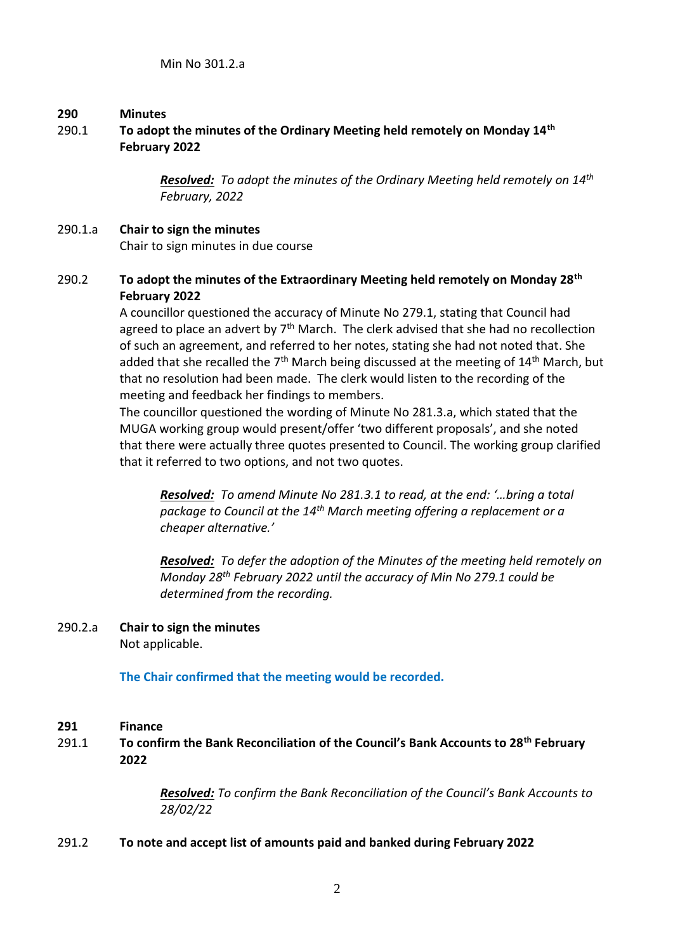#### **290 Minutes**

## 290.1 **To adopt the minutes of the Ordinary Meeting held remotely on Monday 14th February 2022**

*Resolved: To adopt the minutes of the Ordinary Meeting held remotely on 14th February, 2022* 

## 290.1.a **Chair to sign the minutes** Chair to sign minutes in due course

## 290.2 **To adopt the minutes of the Extraordinary Meeting held remotely on Monday 28th February 2022**

A councillor questioned the accuracy of Minute No 279.1, stating that Council had agreed to place an advert by  $7<sup>th</sup>$  March. The clerk advised that she had no recollection of such an agreement, and referred to her notes, stating she had not noted that. She added that she recalled the  $7<sup>th</sup>$  March being discussed at the meeting of  $14<sup>th</sup>$  March, but that no resolution had been made. The clerk would listen to the recording of the meeting and feedback her findings to members.

The councillor questioned the wording of Minute No 281.3.a, which stated that the MUGA working group would present/offer 'two different proposals', and she noted that there were actually three quotes presented to Council. The working group clarified that it referred to two options, and not two quotes.

*Resolved: To amend Minute No 281.3.1 to read, at the end: '…bring a total package to Council at the 14th March meeting offering a replacement or a cheaper alternative.'*

*Resolved: To defer the adoption of the Minutes of the meeting held remotely on Monday 28th February 2022 until the accuracy of Min No 279.1 could be determined from the recording.*

# 290.2.a **Chair to sign the minutes**

Not applicable.

**The Chair confirmed that the meeting would be recorded.**

#### **291 Finance**

291.1 **To confirm the Bank Reconciliation of the Council's Bank Accounts to 28th February 2022** 

> *Resolved: To confirm the Bank Reconciliation of the Council's Bank Accounts to 28/02/22*

#### 291.2 **To note and accept list of amounts paid and banked during February 2022**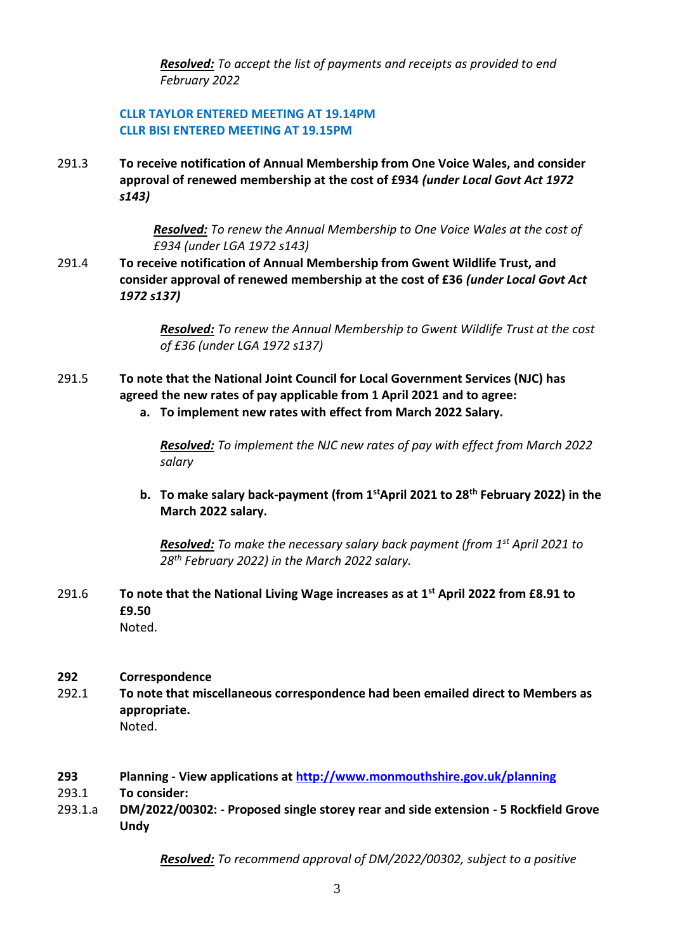*Resolved: To accept the list of payments and receipts as provided to end February 2022*

## **CLLR TAYLOR ENTERED MEETING AT 19.14PM CLLR BISI ENTERED MEETING AT 19.15PM**

291.3 **To receive notification of Annual Membership from One Voice Wales, and consider approval of renewed membership at the cost of £934** *(under Local Govt Act 1972 s143)*

> *Resolved: To renew the Annual Membership to One Voice Wales at the cost of £934 (under LGA 1972 s143)*

291.4 **To receive notification of Annual Membership from Gwent Wildlife Trust, and consider approval of renewed membership at the cost of £36** *(under Local Govt Act 1972 s137)*

> *Resolved: To renew the Annual Membership to Gwent Wildlife Trust at the cost of £36 (under LGA 1972 s137)*

- 291.5 **To note that the National Joint Council for Local Government Services (NJC) has agreed the new rates of pay applicable from 1 April 2021 and to agree:**
	- **a. To implement new rates with effect from March 2022 Salary.**

*Resolved: To implement the NJC new rates of pay with effect from March 2022 salary* 

**b. To make salary back-payment (from 1stApril 2021 to 28th February 2022) in the March 2022 salary.**

*Resolved: To make the necessary salary back payment (from 1st April 2021 to 28th February 2022) in the March 2022 salary.*

291.6 **To note that the National Living Wage increases as at 1st April 2022 from £8.91 to £9.50** Noted.

#### **292 Correspondence**

- 292.1 **To note that miscellaneous correspondence had been emailed direct to Members as appropriate.** Noted.
- **293 Planning - View applications at<http://www.monmouthshire.gov.uk/planning>**
- 293.1 **To consider:**
- 293.1.a **DM/2022/00302: - Proposed single storey rear and side extension - 5 Rockfield Grove Undy**

*Resolved: To recommend approval of DM/2022/00302, subject to a positive*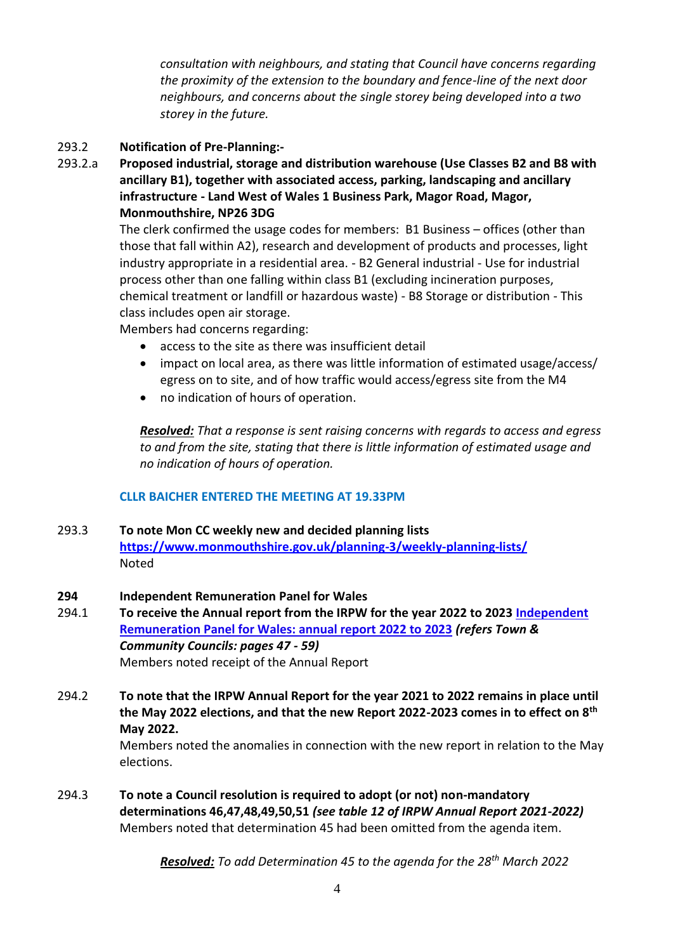*consultation with neighbours, and stating that Council have concerns regarding the proximity of the extension to the boundary and fence-line of the next door neighbours, and concerns about the single storey being developed into a two storey in the future.*

## 293.2 **Notification of Pre-Planning:-**

293.2.a **Proposed industrial, storage and distribution warehouse (Use Classes B2 and B8 with ancillary B1), together with associated access, parking, landscaping and ancillary infrastructure - Land West of Wales 1 Business Park, Magor Road, Magor, Monmouthshire, NP26 3DG**

> The clerk confirmed the usage codes for members: B1 Business – offices (other than those that fall within A2), research and development of products and processes, light industry appropriate in a residential area. - B2 General industrial - Use for industrial process other than one falling within class B1 (excluding incineration purposes, chemical treatment or landfill or hazardous waste) - B8 Storage or distribution - This class includes open air storage.

Members had concerns regarding:

- access to the site as there was insufficient detail
- impact on local area, as there was little information of estimated usage/access/ egress on to site, and of how traffic would access/egress site from the M4
- no indication of hours of operation.

*Resolved: That a response is sent raising concerns with regards to access and egress to and from the site, stating that there is little information of estimated usage and no indication of hours of operation.*

## **CLLR BAICHER ENTERED THE MEETING AT 19.33PM**

293.3 **To note Mon CC weekly new and decided planning lists <https://www.monmouthshire.gov.uk/planning-3/weekly-planning-lists/>** Noted

#### **294 Independent Remuneration Panel for Wales**

- 294.1 **To receive the Annual report from the IRPW for the year 2022 to 2023 [Independent](https://eur01.safelinks.protection.outlook.com/?url=https%3A%2F%2Fgov.wales%2Findependent-remuneration-panel-wales-annual-report-2022-2023&data=04%7C01%7CLeighton.Jones%40gov.wales%7Ceb82a77f724c4da7315708d9d424ecc1%7Ca2cc36c592804ae78887d06dab89216b%7C0%7C0%7C637774077311159118%7CUnknown%7CTWFpbGZsb3d8eyJWIjoiMC4wLjAwMDAiLCJQIjoiV2luMzIiLCJBTiI6Ik1haWwiLCJXVCI6Mn0%3D%7C3000&sdata=qu0AxrCN1ap0hfysvVih4fMFitHo2aXkDya9HBCyz7Q%3D&reserved=0)  [Remuneration Panel for Wales: annual report 2022 to 2023](https://eur01.safelinks.protection.outlook.com/?url=https%3A%2F%2Fgov.wales%2Findependent-remuneration-panel-wales-annual-report-2022-2023&data=04%7C01%7CLeighton.Jones%40gov.wales%7Ceb82a77f724c4da7315708d9d424ecc1%7Ca2cc36c592804ae78887d06dab89216b%7C0%7C0%7C637774077311159118%7CUnknown%7CTWFpbGZsb3d8eyJWIjoiMC4wLjAwMDAiLCJQIjoiV2luMzIiLCJBTiI6Ik1haWwiLCJXVCI6Mn0%3D%7C3000&sdata=qu0AxrCN1ap0hfysvVih4fMFitHo2aXkDya9HBCyz7Q%3D&reserved=0)** *(refers Town & Community Councils: pages 47 - 59)* Members noted receipt of the Annual Report
- 294.2 **To note that the IRPW Annual Report for the year 2021 to 2022 remains in place until the May 2022 elections, and that the new Report 2022-2023 comes in to effect on 8th May 2022.**

Members noted the anomalies in connection with the new report in relation to the May elections.

294.3 **To note a Council resolution is required to adopt (or not) non-mandatory determinations 46,47,48,49,50,51** *(see table 12 of IRPW Annual Report 2021-2022)* Members noted that determination 45 had been omitted from the agenda item.

*Resolved: To add Determination 45 to the agenda for the 28th March 2022*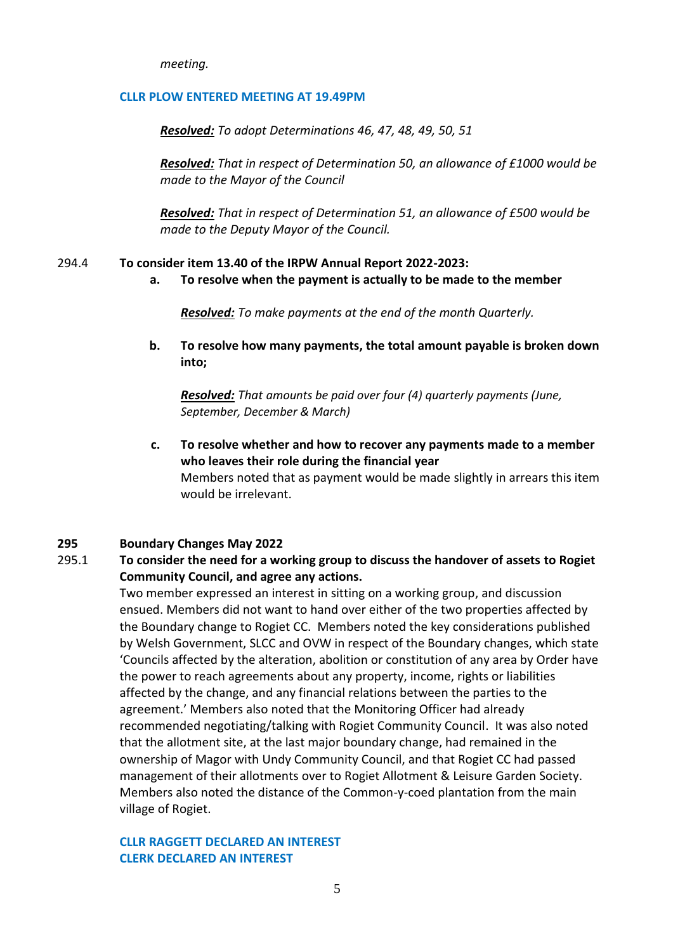*meeting.*

#### **CLLR PLOW ENTERED MEETING AT 19.49PM**

*Resolved: To adopt Determinations 46, 47, 48, 49, 50, 51*

*Resolved: That in respect of Determination 50, an allowance of £1000 would be made to the Mayor of the Council*

*Resolved: That in respect of Determination 51, an allowance of £500 would be made to the Deputy Mayor of the Council.*

#### 294.4 **To consider item 13.40 of the IRPW Annual Report 2022-2023:**

**a. To resolve when the payment is actually to be made to the member** 

*Resolved: To make payments at the end of the month Quarterly.*

**b. To resolve how many payments, the total amount payable is broken down into;**

*Resolved: That amounts be paid over four (4) quarterly payments (June, September, December & March)*

**c. To resolve whether and how to recover any payments made to a member who leaves their role during the financial year** Members noted that as payment would be made slightly in arrears this item would be irrelevant.

#### **295 Boundary Changes May 2022**

## 295.1 **To consider the need for a working group to discuss the handover of assets to Rogiet Community Council, and agree any actions.**

Two member expressed an interest in sitting on a working group, and discussion ensued. Members did not want to hand over either of the two properties affected by the Boundary change to Rogiet CC. Members noted the key considerations published by Welsh Government, SLCC and OVW in respect of the Boundary changes, which state 'Councils affected by the alteration, abolition or constitution of any area by Order have the power to reach agreements about any property, income, rights or liabilities affected by the change, and any financial relations between the parties to the agreement.' Members also noted that the Monitoring Officer had already recommended negotiating/talking with Rogiet Community Council. It was also noted that the allotment site, at the last major boundary change, had remained in the ownership of Magor with Undy Community Council, and that Rogiet CC had passed management of their allotments over to Rogiet Allotment & Leisure Garden Society. Members also noted the distance of the Common-y-coed plantation from the main village of Rogiet.

#### **CLLR RAGGETT DECLARED AN INTEREST CLERK DECLARED AN INTEREST**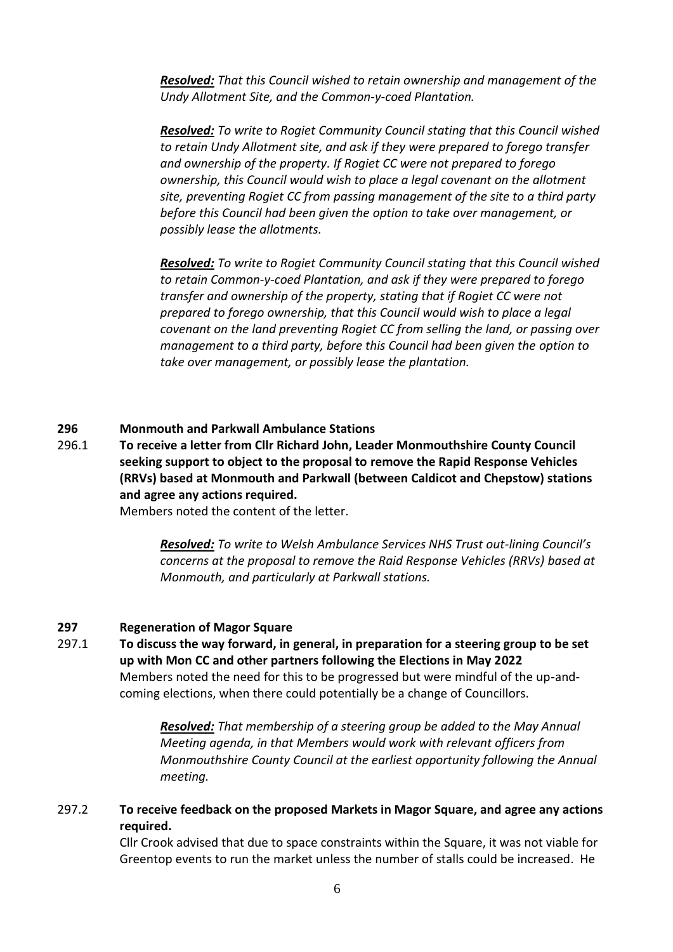*Resolved: That this Council wished to retain ownership and management of the Undy Allotment Site, and the Common-y-coed Plantation.*

*Resolved: To write to Rogiet Community Council stating that this Council wished to retain Undy Allotment site, and ask if they were prepared to forego transfer and ownership of the property. If Rogiet CC were not prepared to forego ownership, this Council would wish to place a legal covenant on the allotment site, preventing Rogiet CC from passing management of the site to a third party before this Council had been given the option to take over management, or possibly lease the allotments.*

*Resolved: To write to Rogiet Community Council stating that this Council wished to retain Common-y-coed Plantation, and ask if they were prepared to forego transfer and ownership of the property, stating that if Rogiet CC were not prepared to forego ownership, that this Council would wish to place a legal covenant on the land preventing Rogiet CC from selling the land, or passing over management to a third party, before this Council had been given the option to take over management, or possibly lease the plantation.*

#### **296 Monmouth and Parkwall Ambulance Stations**

296.1 **To receive a letter from Cllr Richard John, Leader Monmouthshire County Council seeking support to object to the proposal to remove the Rapid Response Vehicles (RRVs) based at Monmouth and Parkwall (between Caldicot and Chepstow) stations and agree any actions required.**

Members noted the content of the letter.

*Resolved: To write to Welsh Ambulance Services NHS Trust out-lining Council's concerns at the proposal to remove the Raid Response Vehicles (RRVs) based at Monmouth, and particularly at Parkwall stations.*

#### **297 Regeneration of Magor Square**

297.1 **To discuss the way forward, in general, in preparation for a steering group to be set up with Mon CC and other partners following the Elections in May 2022** Members noted the need for this to be progressed but were mindful of the up-andcoming elections, when there could potentially be a change of Councillors.

> *Resolved: That membership of a steering group be added to the May Annual Meeting agenda, in that Members would work with relevant officers from Monmouthshire County Council at the earliest opportunity following the Annual meeting.*

## 297.2 **To receive feedback on the proposed Markets in Magor Square, and agree any actions required.**

Cllr Crook advised that due to space constraints within the Square, it was not viable for Greentop events to run the market unless the number of stalls could be increased. He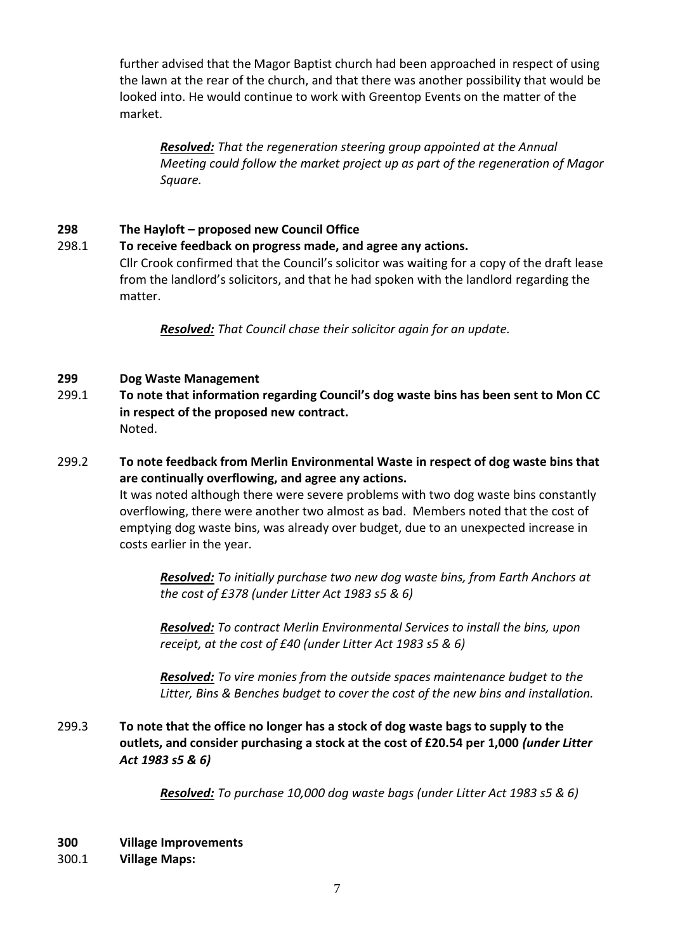further advised that the Magor Baptist church had been approached in respect of using the lawn at the rear of the church, and that there was another possibility that would be looked into. He would continue to work with Greentop Events on the matter of the market.

*Resolved: That the regeneration steering group appointed at the Annual Meeting could follow the market project up as part of the regeneration of Magor Square.*

## **298 The Hayloft – proposed new Council Office**

## 298.1 **To receive feedback on progress made, and agree any actions.**

Cllr Crook confirmed that the Council's solicitor was waiting for a copy of the draft lease from the landlord's solicitors, and that he had spoken with the landlord regarding the matter.

*Resolved: That Council chase their solicitor again for an update.*

## **299 Dog Waste Management**

- 299.1 **To note that information regarding Council's dog waste bins has been sent to Mon CC in respect of the proposed new contract.** Noted.
- 299.2 **To note feedback from Merlin Environmental Waste in respect of dog waste bins that are continually overflowing, and agree any actions.**

It was noted although there were severe problems with two dog waste bins constantly overflowing, there were another two almost as bad. Members noted that the cost of emptying dog waste bins, was already over budget, due to an unexpected increase in costs earlier in the year.

*Resolved: To initially purchase two new dog waste bins, from Earth Anchors at the cost of £378 (under Litter Act 1983 s5 & 6)*

*Resolved: To contract Merlin Environmental Services to install the bins, upon receipt, at the cost of £40 (under Litter Act 1983 s5 & 6)*

*Resolved: To vire monies from the outside spaces maintenance budget to the Litter, Bins & Benches budget to cover the cost of the new bins and installation.*

299.3 **To note that the office no longer has a stock of dog waste bags to supply to the outlets, and consider purchasing a stock at the cost of £20.54 per 1,000** *(under Litter Act 1983 s5 & 6)*

*Resolved: To purchase 10,000 dog waste bags (under Litter Act 1983 s5 & 6)*

- **300 Village Improvements**
- 300.1 **Village Maps:**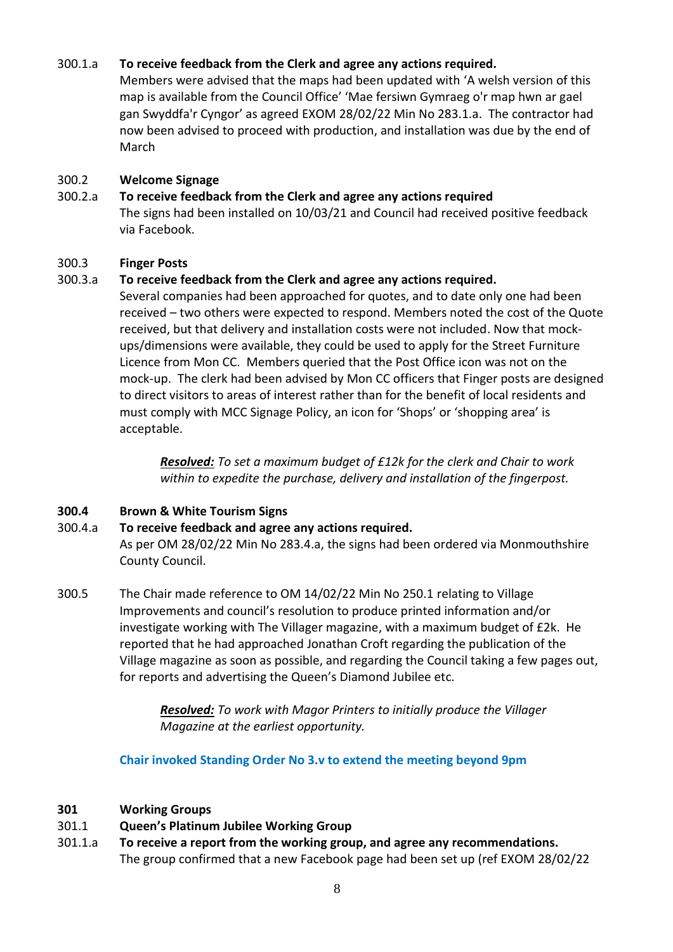## 300.1.a **To receive feedback from the Clerk and agree any actions required.**

Members were advised that the maps had been updated with 'A welsh version of this map is available from the Council Office' 'Mae fersiwn Gymraeg o'r map hwn ar gael gan Swyddfa'r Cyngor' as agreed EXOM 28/02/22 Min No 283.1.a. The contractor had now been advised to proceed with production, and installation was due by the end of March

## 300.2 **Welcome Signage**

## 300.2.a **To receive feedback from the Clerk and agree any actions required**

The signs had been installed on 10/03/21 and Council had received positive feedback via Facebook.

## 300.3 **Finger Posts**

## 300.3.a **To receive feedback from the Clerk and agree any actions required.**

Several companies had been approached for quotes, and to date only one had been received – two others were expected to respond. Members noted the cost of the Quote received, but that delivery and installation costs were not included. Now that mockups/dimensions were available, they could be used to apply for the Street Furniture Licence from Mon CC. Members queried that the Post Office icon was not on the mock-up. The clerk had been advised by Mon CC officers that Finger posts are designed to direct visitors to areas of interest rather than for the benefit of local residents and must comply with MCC Signage Policy, an icon for 'Shops' or 'shopping area' is acceptable.

> *Resolved: To set a maximum budget of £12k for the clerk and Chair to work within to expedite the purchase, delivery and installation of the fingerpost.*

## **300.4 Brown & White Tourism Signs**

## 300.4.a **To receive feedback and agree any actions required.**

As per OM 28/02/22 Min No 283.4.a, the signs had been ordered via Monmouthshire County Council.

300.5 The Chair made reference to OM 14/02/22 Min No 250.1 relating to Village Improvements and council's resolution to produce printed information and/or investigate working with The Villager magazine, with a maximum budget of £2k. He reported that he had approached Jonathan Croft regarding the publication of the Village magazine as soon as possible, and regarding the Council taking a few pages out, for reports and advertising the Queen's Diamond Jubilee etc.

> *Resolved: To work with Magor Printers to initially produce the Villager Magazine at the earliest opportunity.*

**Chair invoked Standing Order No 3.v to extend the meeting beyond 9pm**

## **301 Working Groups**

- 301.1 **Queen's Platinum Jubilee Working Group**
- 301.1.a **To receive a report from the working group, and agree any recommendations.**  The group confirmed that a new Facebook page had been set up (ref EXOM 28/02/22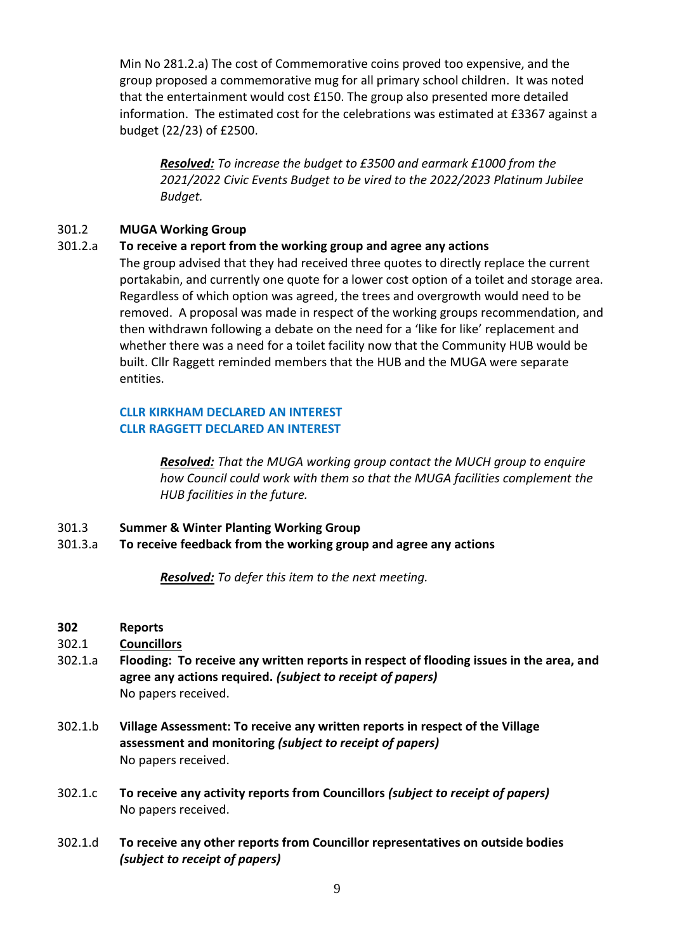Min No 281.2.a) The cost of Commemorative coins proved too expensive, and the group proposed a commemorative mug for all primary school children. It was noted that the entertainment would cost £150. The group also presented more detailed information. The estimated cost for the celebrations was estimated at £3367 against a budget (22/23) of £2500.

*Resolved: To increase the budget to £3500 and earmark £1000 from the 2021/2022 Civic Events Budget to be vired to the 2022/2023 Platinum Jubilee Budget.*

## 301.2 **MUGA Working Group**

## 301.2.a **To receive a report from the working group and agree any actions**

The group advised that they had received three quotes to directly replace the current portakabin, and currently one quote for a lower cost option of a toilet and storage area. Regardless of which option was agreed, the trees and overgrowth would need to be removed. A proposal was made in respect of the working groups recommendation, and then withdrawn following a debate on the need for a 'like for like' replacement and whether there was a need for a toilet facility now that the Community HUB would be built. Cllr Raggett reminded members that the HUB and the MUGA were separate entities.

## **CLLR KIRKHAM DECLARED AN INTEREST CLLR RAGGETT DECLARED AN INTEREST**

*Resolved: That the MUGA working group contact the MUCH group to enquire how Council could work with them so that the MUGA facilities complement the HUB facilities in the future.*

- 301.3 **Summer & Winter Planting Working Group**
- 301.3.a **To receive feedback from the working group and agree any actions**

*Resolved: To defer this item to the next meeting.*

- **302 Reports**
- 302.1 **Councillors**
- 302.1.a **Flooding: To receive any written reports in respect of flooding issues in the area, and agree any actions required.** *(subject to receipt of papers)*  No papers received.
- 302.1.b **Village Assessment: To receive any written reports in respect of the Village assessment and monitoring** *(subject to receipt of papers)* No papers received.
- 302.1.c **To receive any activity reports from Councillors** *(subject to receipt of papers)* No papers received.
- 302.1.d **To receive any other reports from Councillor representatives on outside bodies**  *(subject to receipt of papers)*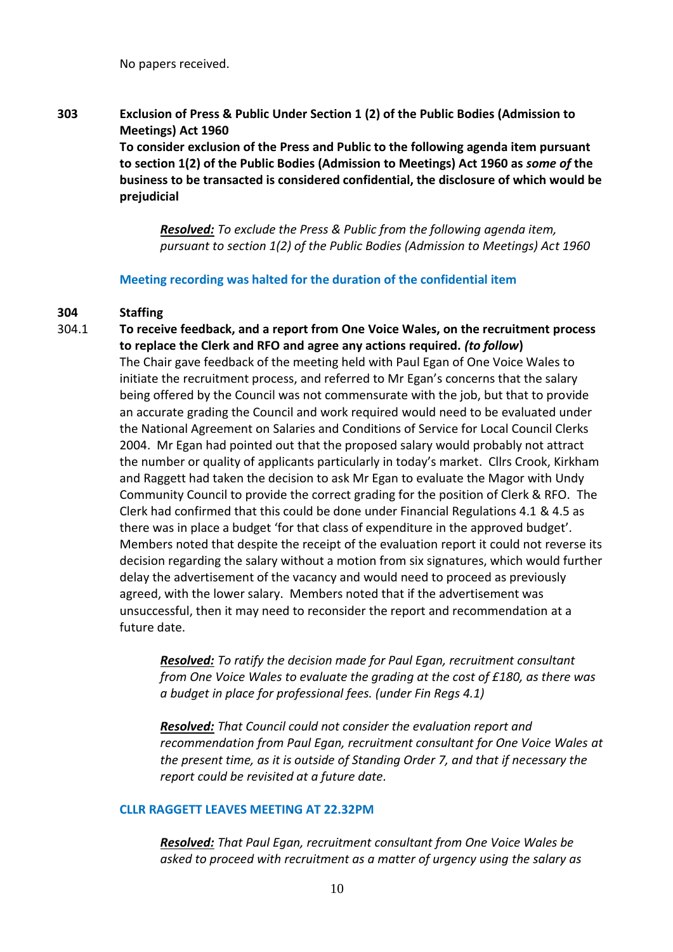No papers received.

**303 Exclusion of Press & Public Under Section 1 (2) of the Public Bodies (Admission to Meetings) Act 1960 To consider exclusion of the Press and Public to the following agenda item pursuant to section 1(2) of the Public Bodies (Admission to Meetings) Act 1960 as** *some of* **the business to be transacted is considered confidential, the disclosure of which would be prejudicial**

> *Resolved: To exclude the Press & Public from the following agenda item, pursuant to section 1(2) of the Public Bodies (Admission to Meetings) Act 1960*

**Meeting recording was halted for the duration of the confidential item** 

#### **304 Staffing**

304.1 **To receive feedback, and a report from One Voice Wales, on the recruitment process to replace the Clerk and RFO and agree any actions required.** *(to follow***)** The Chair gave feedback of the meeting held with Paul Egan of One Voice Wales to initiate the recruitment process, and referred to Mr Egan's concerns that the salary being offered by the Council was not commensurate with the job, but that to provide an accurate grading the Council and work required would need to be evaluated under the National Agreement on Salaries and Conditions of Service for Local Council Clerks 2004. Mr Egan had pointed out that the proposed salary would probably not attract the number or quality of applicants particularly in today's market. Cllrs Crook, Kirkham and Raggett had taken the decision to ask Mr Egan to evaluate the Magor with Undy Community Council to provide the correct grading for the position of Clerk & RFO. The Clerk had confirmed that this could be done under Financial Regulations 4.1 & 4.5 as there was in place a budget 'for that class of expenditure in the approved budget'. Members noted that despite the receipt of the evaluation report it could not reverse its decision regarding the salary without a motion from six signatures, which would further delay the advertisement of the vacancy and would need to proceed as previously agreed, with the lower salary. Members noted that if the advertisement was unsuccessful, then it may need to reconsider the report and recommendation at a future date.

> *Resolved: To ratify the decision made for Paul Egan, recruitment consultant from One Voice Wales to evaluate the grading at the cost of £180, as there was a budget in place for professional fees. (under Fin Regs 4.1)*

*Resolved: That Council could not consider the evaluation report and recommendation from Paul Egan, recruitment consultant for One Voice Wales at the present time, as it is outside of Standing Order 7, and that if necessary the report could be revisited at a future date.* 

#### **CLLR RAGGETT LEAVES MEETING AT 22.32PM**

*Resolved: That Paul Egan, recruitment consultant from One Voice Wales be asked to proceed with recruitment as a matter of urgency using the salary as*